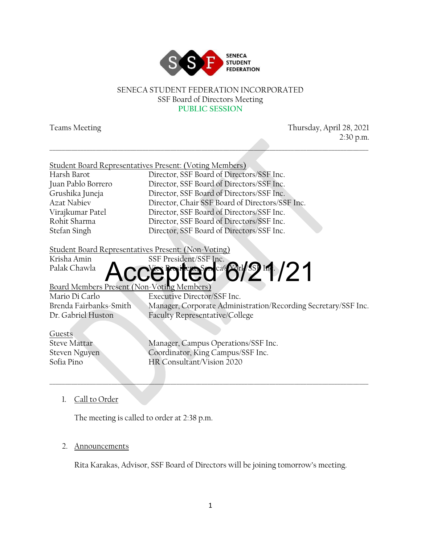

#### SENECA STUDENT FEDERATION INCORPORATED SSF Board of Directors Meeting **PUBLIC SESSION**

\_\_\_\_\_\_\_\_\_\_\_\_\_\_\_\_\_\_\_\_\_\_\_\_\_\_\_\_\_\_\_\_\_\_\_\_\_\_\_\_\_\_\_\_\_\_\_\_\_\_\_\_\_\_\_\_\_\_\_\_\_\_\_\_\_\_\_\_\_\_\_\_\_\_\_\_\_\_\_\_\_\_\_\_\_\_\_\_\_\_\_\_\_\_\_\_\_\_\_\_\_\_\_

Teams Meeting Thursday, April 28, 2021 2:30 p.m.

|                    | Student Board Representatives Present: (Voting Members) |
|--------------------|---------------------------------------------------------|
| Harsh Barot        | Director, SSF Board of Directors/SSF Inc.               |
| Juan Pablo Borrero | Director, SSF Board of Directors/SSF Inc.               |
| Grushika Juneja    | Director, SSF Board of Directors/SSF Inc.               |
| Azat Nabiev        | Director, Chair SSF Board of Directors/SSF Inc.         |
| Virajkumar Patel   | Director, SSF Board of Directors/SSF Inc.               |
| Rohit Sharma       | Director, SSF Board of Directors/SSF Inc.               |
| Stefan Singh       | Director, SSF Board of Directors/SSF Inc.               |
|                    |                                                         |

#### Student Board Representatives Present: (Non-Voting)

Krisha Amin SSF President/SSF Inc.

## Palak Chawla **Accepted 6/21/21**

#### Board Members Present (Non-Voting Members)

Mario Di Carlo Executive Director/SSF Inc.<br>Brenda Fairbanks-Smith Manager, Corporate Admini Manager, Corporate Administration/Recording Secretary/SSF Inc. Dr. Gabriel Huston Faculty Representative/College

Guests

Steve Mattar Manager, Campus Operations/SSF Inc. Steven Nguyen Coordinator, King Campus/SSF Inc. Sofia Pino HR Consultant/Vision 2020

\_\_\_\_\_\_\_\_\_\_\_\_\_\_\_\_\_\_\_\_\_\_\_\_\_\_\_\_\_\_\_\_\_\_\_\_\_\_\_\_\_\_\_\_\_\_\_\_\_\_\_\_\_\_\_\_\_\_\_\_\_\_\_\_\_\_\_\_\_\_\_\_\_\_\_\_\_\_\_\_\_\_\_\_\_\_\_\_\_\_\_\_\_\_\_\_\_\_\_\_\_\_\_

#### 1. Call to Order

The meeting is called to order at 2:38 p.m.

#### 2. Announcements

Rita Karakas, Advisor, SSF Board of Directors will be joining tomorrow's meeting.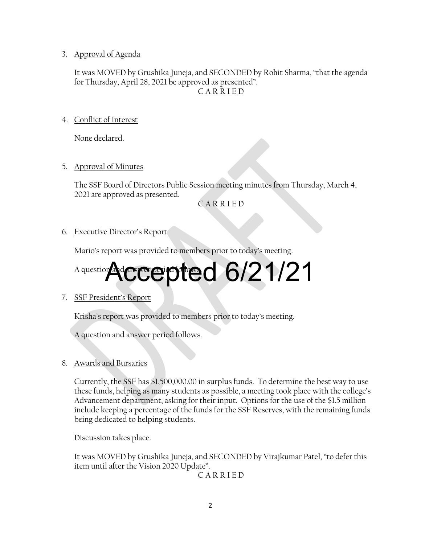3. Approval of Agenda

It was MOVED by Grushika Juneja, and SECONDED by Rohit Sharma, "that the agenda for Thursday, April 28, 2021 be approved as presented". C A R R I E D

4. Conflict of Interest

None declared.

5. Approval of Minutes

The SSF Board of Directors Public Session meeting minutes from Thursday, March 4, 2021 are approved as presented.

C A R R I E D

6. Executive Director's Report

Mario's report was provided to members prior to today's meeting.

# A question **Adcecepted 6/21/21**

7. SSF President's Report

Krisha's report was provided to members prior to today's meeting.

A question and answer period follows.

8. Awards and Bursaries

Currently, the SSF has \$1,500,000.00 in surplus funds. To determine the best way to use these funds, helping as many students as possible, a meeting took place with the college's Advancement department, asking for their input. Options for the use of the \$1.5 million include keeping a percentage of the funds for the SSF Reserves, with the remaining funds being dedicated to helping students.

Discussion takes place.

It was MOVED by Grushika Juneja, and SECONDED by Virajkumar Patel, "to defer this item until after the Vision 2020 Update".

C A R R I E D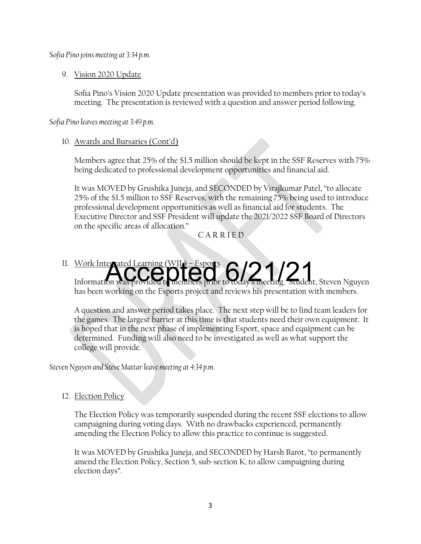*Sofia Pino joins meeting at 3:34 p.m.*

#### 9. Vision 2020 Update

Sofia Pino's Vision 2020 Update presentation was provided to members prior to today's meeting. The presentation is reviewed with a question and answer period following.

*Sofia Pino leaves meeting at 3:49 p.m.*

#### 10. Awards and Bursaries (Cont'd)

Members agree that 25% of the \$1.5 million should be kept in the SSF Reserves with 75% being dedicated to professional development opportunities and financial aid.

It was MOVED by Grushika Juneja, and SECONDED by Virajkumar Patel, "to allocate 25% of the \$1.5 million to SSF Reserves, with the remaining 75% being used to introduce professional development opportunities as well as financial aid for students. The Executive Director and SSF President will update the 2021/2022 SSF Board of Directors on the specific areas of allocation."

C A R R I E D

### 11. Work Integrated Learning (WIL) – Esports Work Integrated Learning (WII) - Esports<br>Information was provided to members prior to today's meeting. Student, Steven Nguyen

has been working on the Esports project and reviews his presentation with members.

A question and answer period takes place. The next step will be to find team leaders for the games. The largest barrier at this time is that students need their own equipment. It is hoped that in the next phase of implementing Esport, space and equipment can be determined. Funding will also need to be investigated as well as what support the college will provide.

*Steven Nguyen and Steve Mattar leave meeting at 4:34 p.m.*

#### 12. Election Policy

The Election Policy was temporarily suspended during the recent SSF elections to allow campaigning during voting days. With no drawbacks experienced, permanently amending the Election Policy to allow this practice to continue is suggested.

It was MOVED by Grushika Juneja, and SECONDED by Harsh Barot, "to permanently amend the Election Policy, Section 5, sub-section K, to allow campaigning during election days".